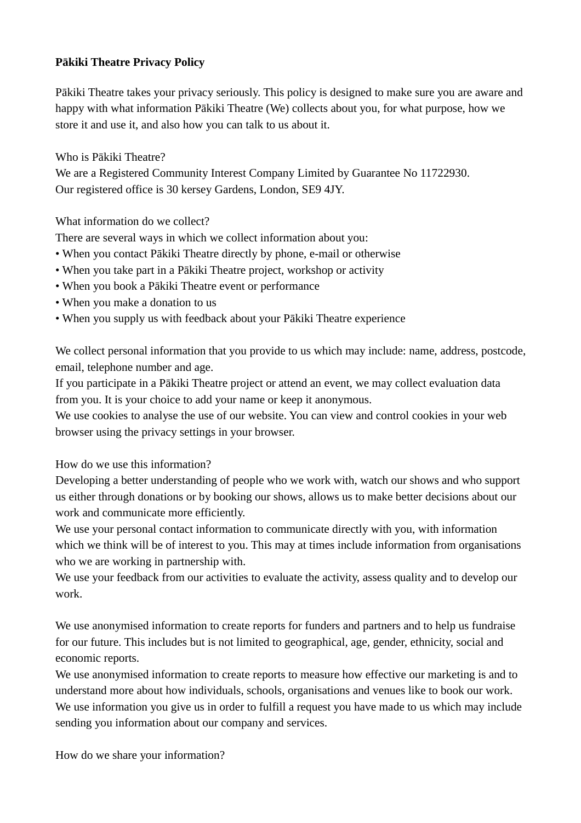### **Pākiki Theatre Privacy Policy**

Pākiki Theatre takes your privacy seriously. This policy is designed to make sure you are aware and happy with what information Pākiki Theatre (We) collects about you, for what purpose, how we store it and use it, and also how you can talk to us about it.

Who is Pākiki Theatre?

We are a Registered Community Interest Company Limited by Guarantee No 11722930. Our registered office is 30 kersey Gardens, London, SE9 4JY.

What information do we collect?

There are several ways in which we collect information about you:

- When you contact Pākiki Theatre directly by phone, e-mail or otherwise
- When you take part in a Pākiki Theatre project, workshop or activity
- When you book a Pākiki Theatre event or performance
- When you make a donation to us
- When you supply us with feedback about your Pākiki Theatre experience

We collect personal information that you provide to us which may include: name, address, postcode, email, telephone number and age.

If you participate in a Pākiki Theatre project or attend an event, we may collect evaluation data from you. It is your choice to add your name or keep it anonymous.

We use cookies to analyse the use of our website. You can view and control cookies in your web browser using the privacy settings in your browser.

How do we use this information?

Developing a better understanding of people who we work with, watch our shows and who support us either through donations or by booking our shows, allows us to make better decisions about our work and communicate more efficiently.

We use your personal contact information to communicate directly with you, with information which we think will be of interest to you. This may at times include information from organisations who we are working in partnership with.

We use your feedback from our activities to evaluate the activity, assess quality and to develop our work.

We use anonymised information to create reports for funders and partners and to help us fundraise for our future. This includes but is not limited to geographical, age, gender, ethnicity, social and economic reports.

We use anonymised information to create reports to measure how effective our marketing is and to understand more about how individuals, schools, organisations and venues like to book our work. We use information you give us in order to fulfill a request you have made to us which may include sending you information about our company and services.

How do we share your information?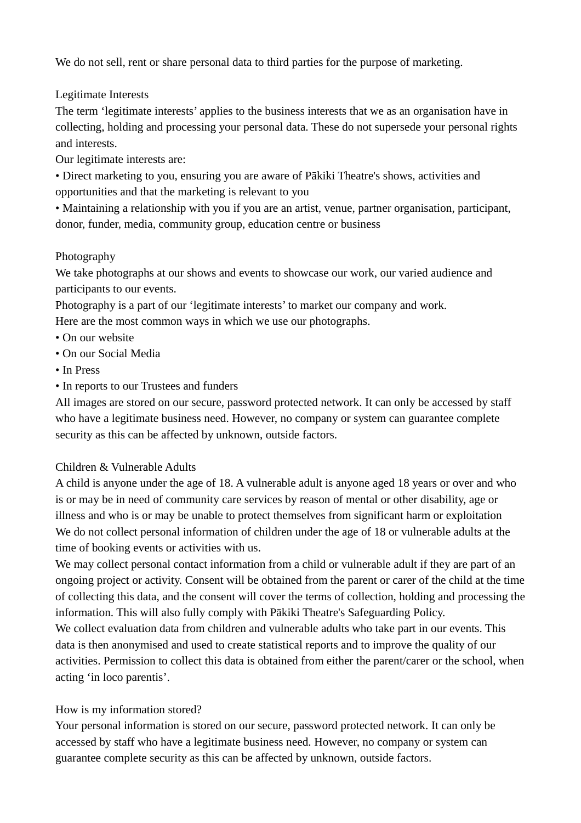We do not sell, rent or share personal data to third parties for the purpose of marketing.

# Legitimate Interests

The term 'legitimate interests' applies to the business interests that we as an organisation have in collecting, holding and processing your personal data. These do not supersede your personal rights and interests.

Our legitimate interests are:

• Direct marketing to you, ensuring you are aware of Pākiki Theatre's shows, activities and opportunities and that the marketing is relevant to you

• Maintaining a relationship with you if you are an artist, venue, partner organisation, participant, donor, funder, media, community group, education centre or business

### Photography

We take photographs at our shows and events to showcase our work, our varied audience and participants to our events.

Photography is a part of our 'legitimate interests' to market our company and work. Here are the most common ways in which we use our photographs.

- On our website
- On our Social Media
- In Press
- In reports to our Trustees and funders

All images are stored on our secure, password protected network. It can only be accessed by staff who have a legitimate business need. However, no company or system can guarantee complete security as this can be affected by unknown, outside factors.

#### Children & Vulnerable Adults

A child is anyone under the age of 18. A vulnerable adult is anyone aged 18 years or over and who is or may be in need of community care services by reason of mental or other disability, age or illness and who is or may be unable to protect themselves from significant harm or exploitation We do not collect personal information of children under the age of 18 or vulnerable adults at the time of booking events or activities with us.

We may collect personal contact information from a child or vulnerable adult if they are part of an ongoing project or activity. Consent will be obtained from the parent or carer of the child at the time of collecting this data, and the consent will cover the terms of collection, holding and processing the information. This will also fully comply with Pākiki Theatre's Safeguarding Policy.

We collect evaluation data from children and vulnerable adults who take part in our events. This data is then anonymised and used to create statistical reports and to improve the quality of our activities. Permission to collect this data is obtained from either the parent/carer or the school, when acting 'in loco parentis'.

# How is my information stored?

Your personal information is stored on our secure, password protected network. It can only be accessed by staff who have a legitimate business need. However, no company or system can guarantee complete security as this can be affected by unknown, outside factors.